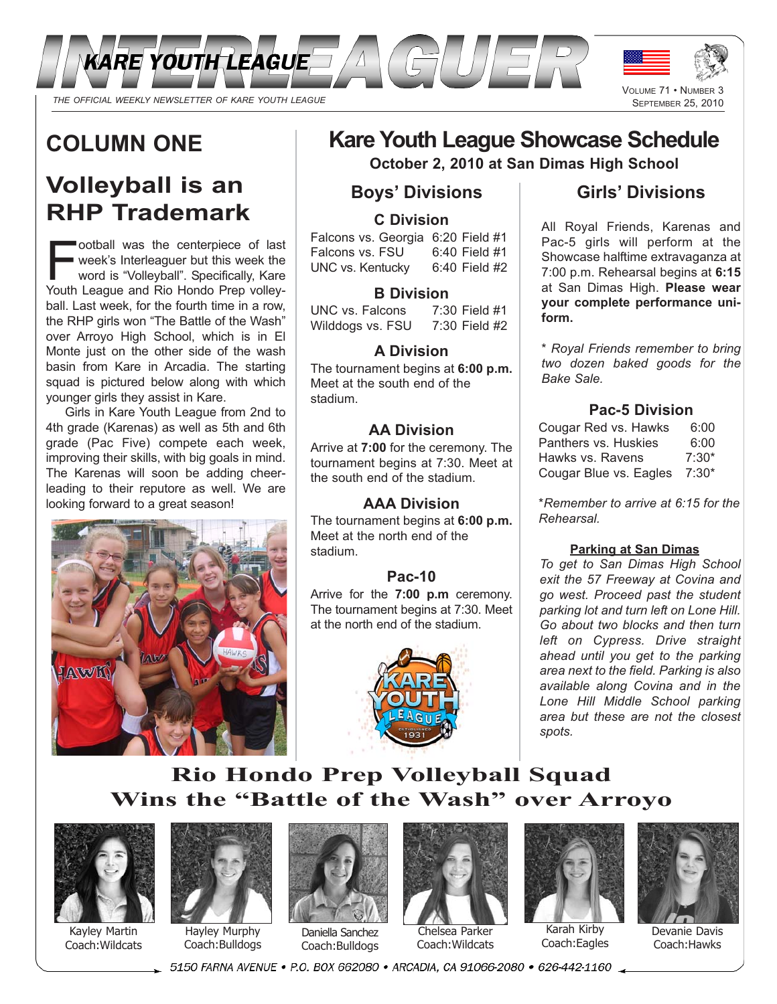

# **COLUMN ONE**

# **Volleyball is an RHP Trademark**

**Football was the centerpiece of last**<br>
week's Interleaguer but this week the<br>
word is "Volleyball". Specifically, Kare<br>
Youth League and Rio Hondo Prep volleyweek's Interleaguer but this week the Youth League and Rio Hondo Prep volleyball. Last week, for the fourth time in a row, the RHP girls won "The Battle of the Wash" over Arroyo High School, which is in El Monte just on the other side of the wash basin from Kare in Arcadia. The starting squad is pictured below along with which younger girls they assist in Kare.

Girls in Kare Youth League from 2nd to 4th grade (Karenas) as well as 5th and 6th grade (Pac Five) compete each week, improving their skills, with big goals in mind. The Karenas will soon be adding cheerleading to their reputore as well. We are looking forward to a great season!



# **Kare Youth League Showcase Schedule**

**October 2, 2010 at San Dimas High School**

## **Boys' Divisions**

## **C Division**

Falcons vs. Georgia 6:20 Field #1<br>Falcons vs. FSU 6:40 Field #1 Falcons vs. FSU 6:40 Field #1<br>UNC vs. Kentucky 6:40 Field #2 UNC vs. Kentucky

### **B Division**

UNC vs. Falcons 7:30 Field #1 Wilddogs vs. FSU 7:30 Field #2

## **A Division**

The tournament begins at **6:00 p.m.** Meet at the south end of the stadium.

## **AA Division**

Arrive at **7:00** for the ceremony. The tournament begins at 7:30. Meet at the south end of the stadium.

## **AAA Division**

The tournament begins at **6:00 p.m.** Meet at the north end of the stadium.

#### **Pac-10**

Arrive for the **7:00 p.m** ceremony. The tournament begins at 7:30. Meet at the north end of the stadium.



## **Girls' Divisions**

All Royal Friends, Karenas and Pac-5 girls will perform at the Showcase halftime extravaganza at 7:00 p.m. Rehearsal begins at **6:15** at San Dimas High. **Please wear your complete performance uniform.**

*\* Royal Friends remember to bring two dozen baked goods for the Bake Sale.*

## **Pac-5 Division**

| Cougar Red vs. Hawks   | 6:00    |
|------------------------|---------|
| Panthers vs. Huskies   | 6:00    |
| Hawks vs. Ravens       | $7:30*$ |
| Cougar Blue vs. Eagles | $7:30*$ |

*\*Remember to arrive at 6:15 for the Rehearsal.*

#### **Parking at San Dimas**

*To get to San Dimas High School exit the 57 Freeway at Covina and go west. Proceed past the student parking lot and turn left on Lone Hill. Go about two blocks and then turn left on Cypress. Drive straight ahead until you get to the parking area next to the field. Parking is also available along Covina and in the Lone Hill Middle School parking area but these are not the closest spots.*

## **Rio Hondo Prep Volleyball Squad Wins the "Battle of the Wash" over Arroyo**



Kayley Martin Coach:Wildcats



Hayley Murphy Coach:Bulldogs



Daniella Sanchez Coach:Bulldogs



Chelsea Parker Coach:Wildcats



Karah Kirby Coach:Eagles



Devanie Davis Coach:Hawks

\_5150 FARNA AVENUE • P.O. BOX 662080 • ARCADIA, CA 91066-2080 • 626-442-1160 \_